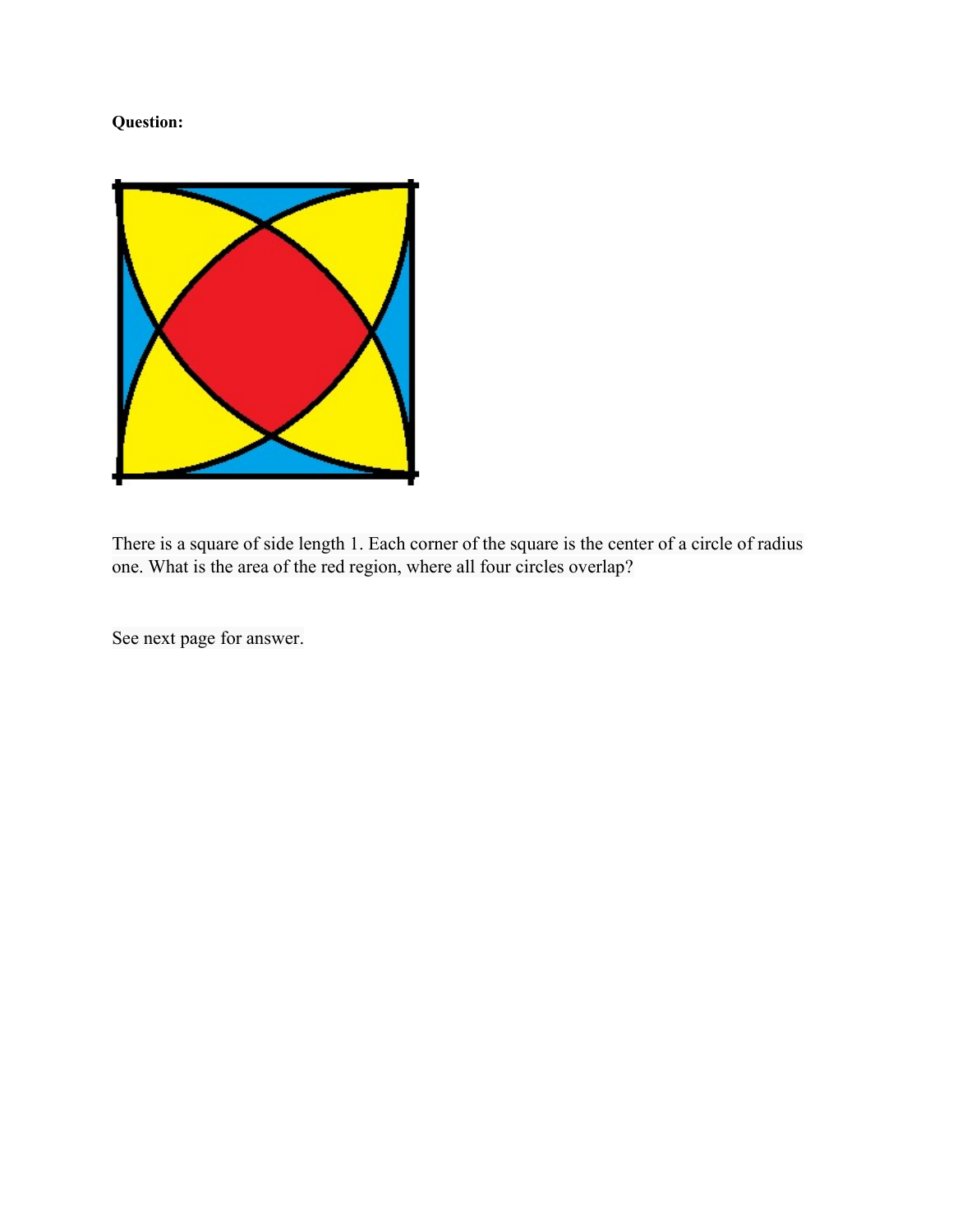## Question:



There is a square of side length 1. Each corner of the square is the center of a circle of radius one. What is the area of the red region, where all four circles overlap?

See next page for answer.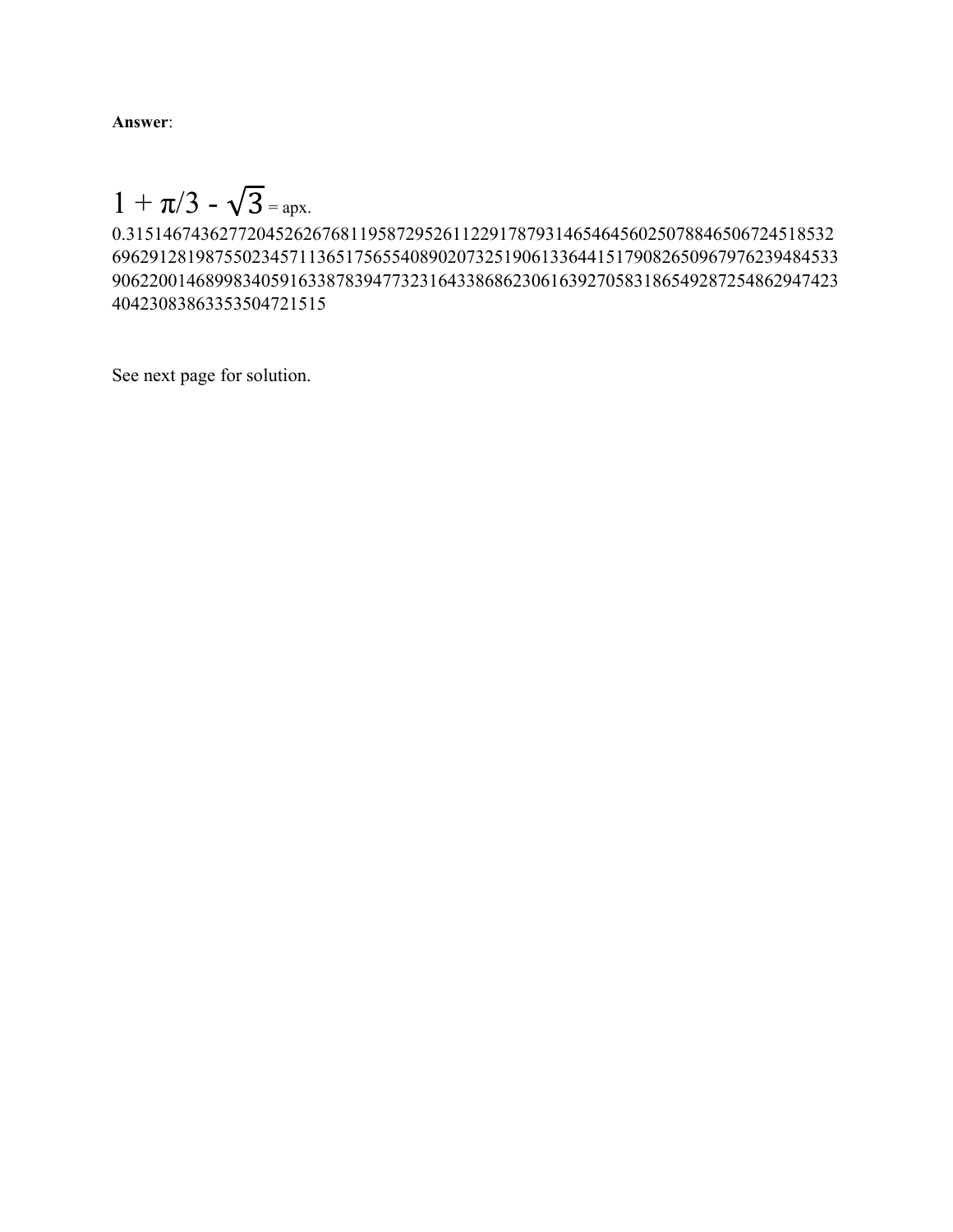Answer:

 $1 + \pi/3 - \sqrt{3} =$  apx.

0.3151467436277204526267681195872952611229178793146546456025078846506724518532 696291281987550234571136517565540890207325190613364415179082650967976239484533 906220014689983405916338783947732316433868623061639270583186549287254862947423 40423083863353504721515

See next page for solution.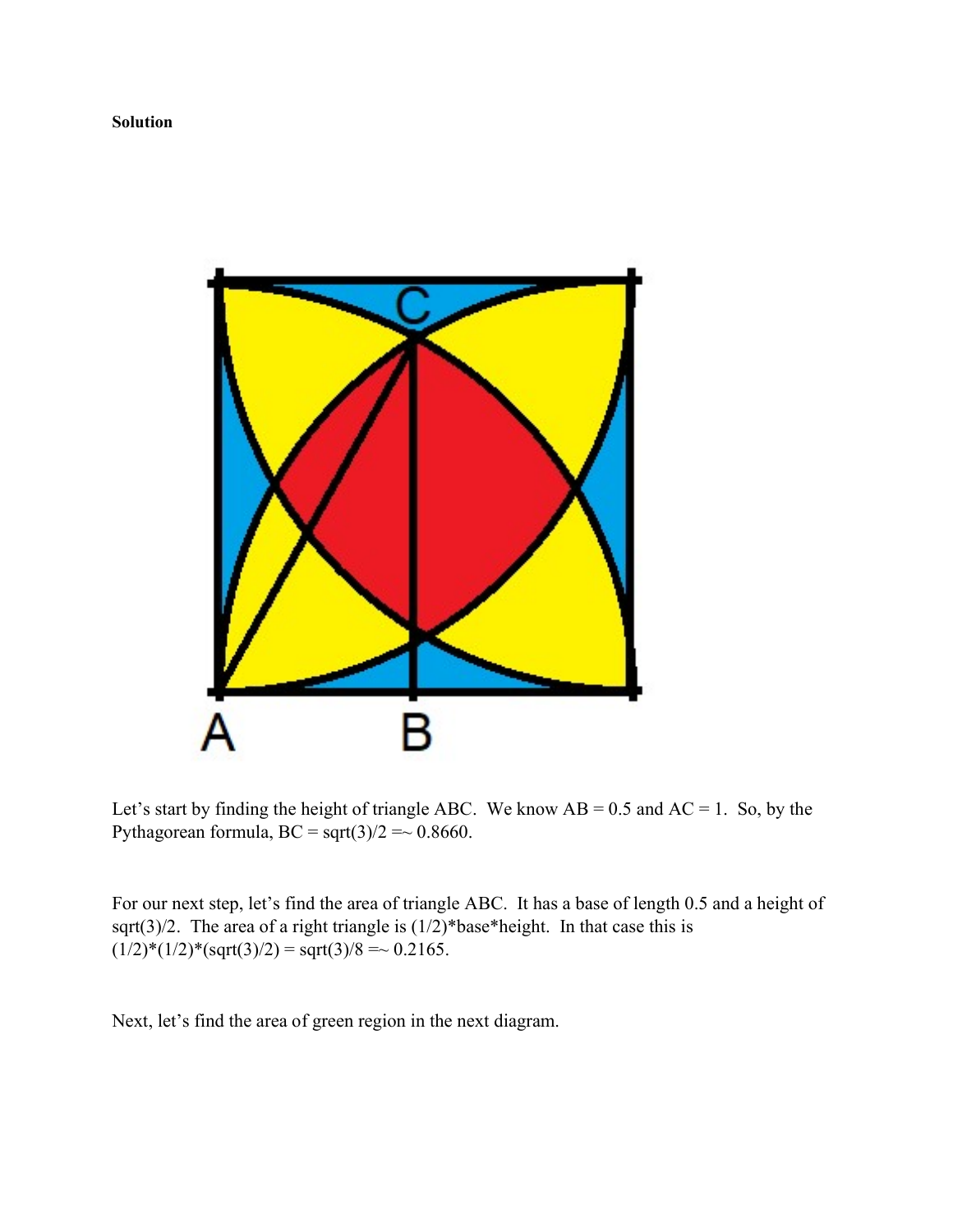

Let's start by finding the height of triangle ABC. We know  $AB = 0.5$  and  $AC = 1$ . So, by the Pythagorean formula,  $BC = sqrt(3)/2 \approx 0.8660$ .

For our next step, let's find the area of triangle ABC. It has a base of length 0.5 and a height of sqrt(3)/2. The area of a right triangle is  $(1/2)$ \*base\*height. In that case this is  $(1/2)^*(1/2)^*(sqrt(3)/2) = \sqrt{3}/8 = \sqrt{0.2165}.$ 

Next, let's find the area of green region in the next diagram.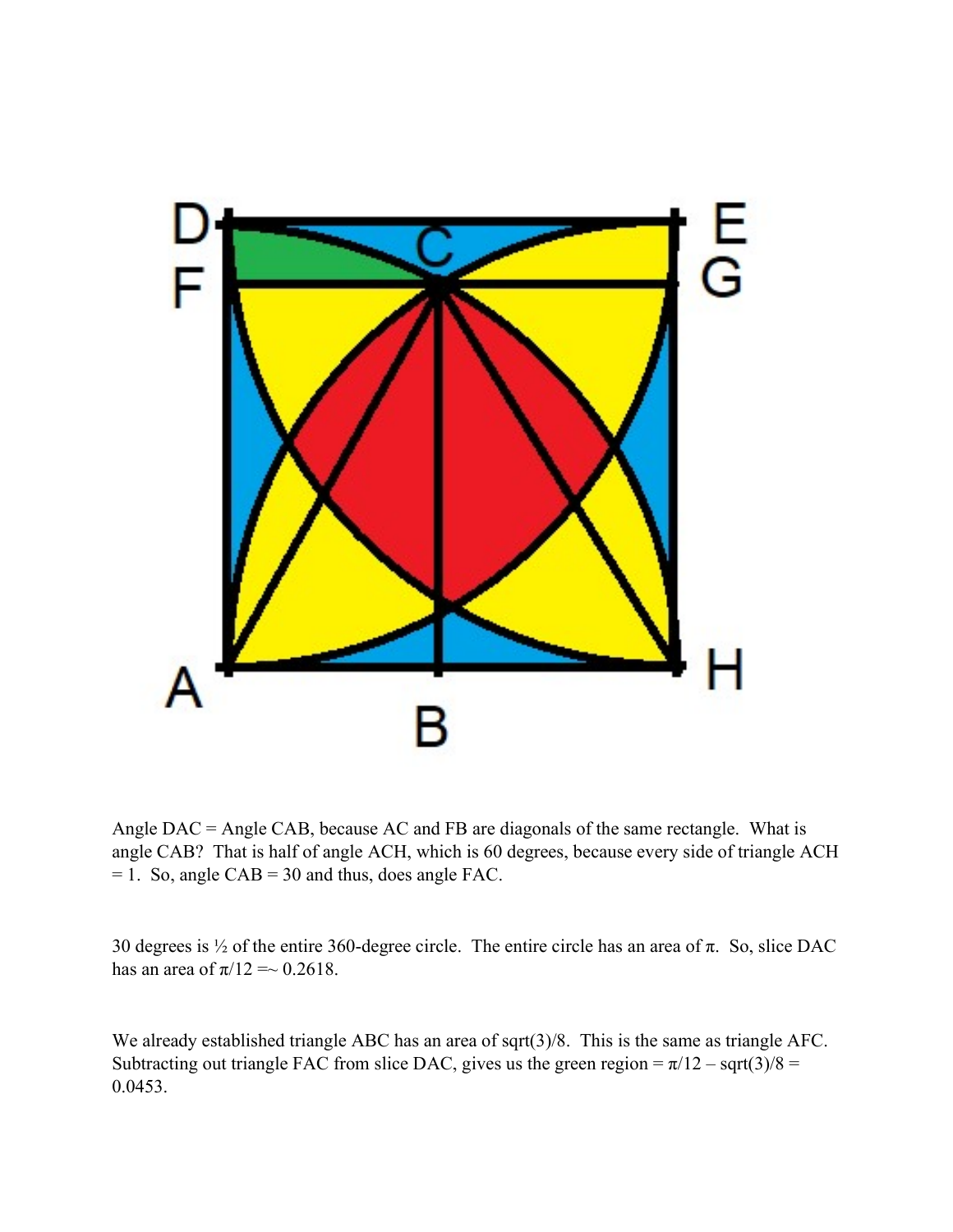

Angle DAC = Angle CAB, because AC and FB are diagonals of the same rectangle. What is angle CAB? That is half of angle ACH, which is 60 degrees, because every side of triangle ACH  $= 1.$  So, angle CAB  $= 30$  and thus, does angle FAC.

30 degrees is  $\frac{1}{2}$  of the entire 360-degree circle. The entire circle has an area of  $\pi$ . So, slice DAC has an area of  $\pi/12 = \sim 0.2618$ .

We already established triangle ABC has an area of sqrt(3)/8. This is the same as triangle AFC. Subtracting out triangle FAC from slice DAC, gives us the green region =  $\pi/12$  – sqrt(3)/8 = 0.0453.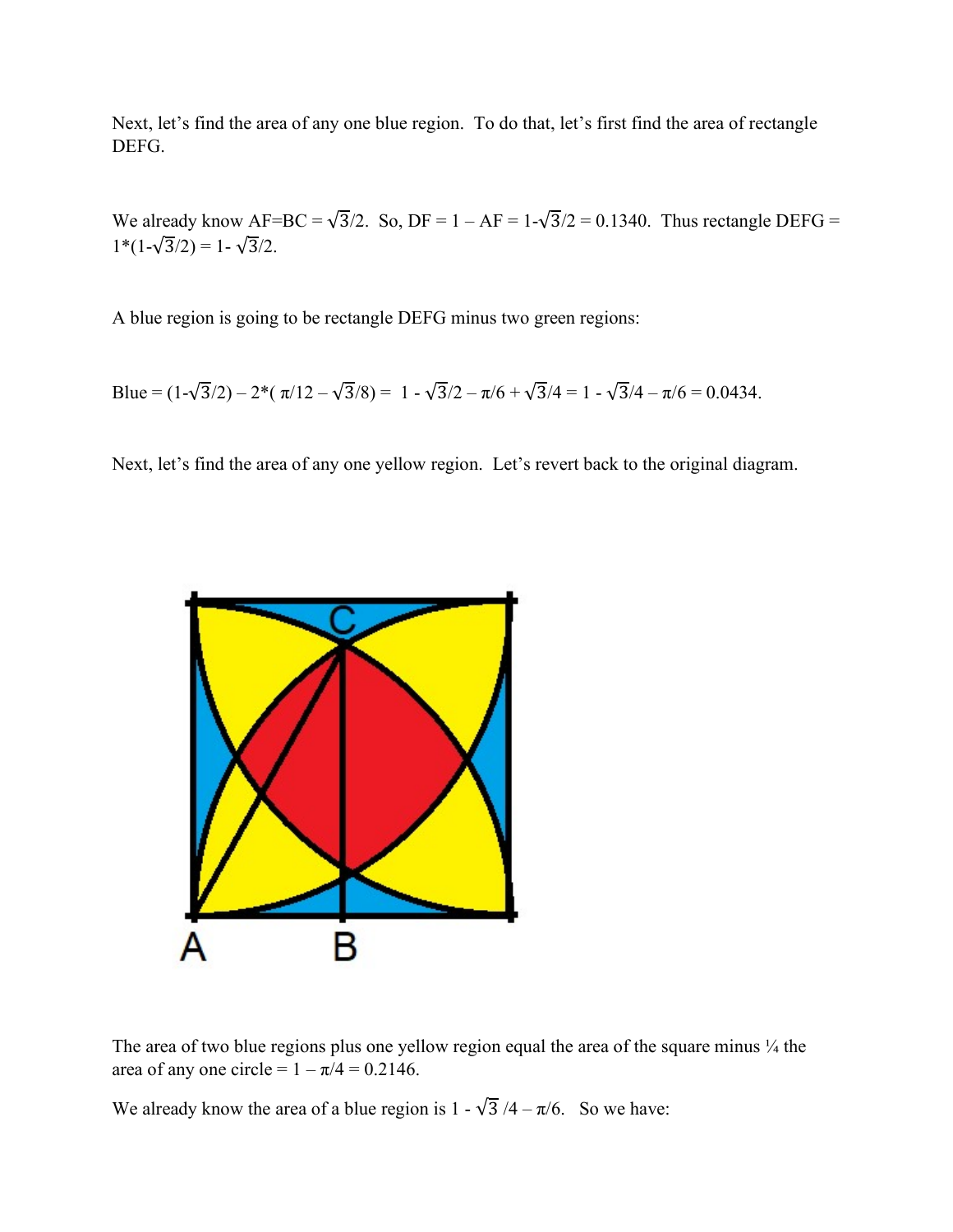Next, let's find the area of any one blue region. To do that, let's first find the area of rectangle DEFG.

We already know  $AF=BC = \sqrt{3}/2$ . So,  $DF = 1 - AF = 1 - \sqrt{3}/2 = 0.1340$ . Thus rectangle DEFG =  $1*(1-\sqrt{3}/2) = 1-\sqrt{3}/2.$ 

A blue region is going to be rectangle DEFG minus two green regions:

Blue = 
$$
(1-\sqrt{3}/2) - 2 \cdot (\pi/12 - \sqrt{3}/8) = 1 - \sqrt{3}/2 - \pi/6 + \sqrt{3}/4 = 1 - \sqrt{3}/4 - \pi/6 = 0.0434
$$
.

Next, let's find the area of any one yellow region. Let's revert back to the original diagram.



The area of two blue regions plus one yellow region equal the area of the square minus  $\frac{1}{4}$  the area of any one circle =  $1 - \pi/4 = 0.2146$ .

We already know the area of a blue region is  $1 - \sqrt{3}/4 - \pi/6$ . So we have: